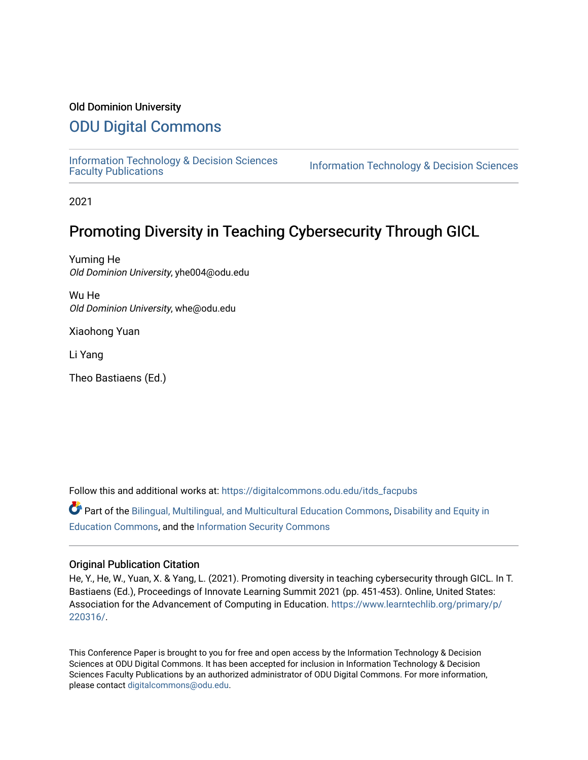#### Old Dominion University

## [ODU Digital Commons](https://digitalcommons.odu.edu/)

[Information Technology & Decision Sciences](https://digitalcommons.odu.edu/itds_facpubs)<br>Faculty Publications

**Information Technology & Decision Sciences** 

2021

# Promoting Diversity in Teaching Cybersecurity Through GICL

Yuming He Old Dominion University, yhe004@odu.edu

Wu He Old Dominion University, whe@odu.edu

Xiaohong Yuan

Li Yang

Theo Bastiaens (Ed.)

Follow this and additional works at: [https://digitalcommons.odu.edu/itds\\_facpubs](https://digitalcommons.odu.edu/itds_facpubs?utm_source=digitalcommons.odu.edu%2Fitds_facpubs%2F64&utm_medium=PDF&utm_campaign=PDFCoverPages) 

Part of the [Bilingual, Multilingual, and Multicultural Education Commons,](http://network.bepress.com/hgg/discipline/785?utm_source=digitalcommons.odu.edu%2Fitds_facpubs%2F64&utm_medium=PDF&utm_campaign=PDFCoverPages) Disability and Equity in [Education Commons,](http://network.bepress.com/hgg/discipline/1040?utm_source=digitalcommons.odu.edu%2Fitds_facpubs%2F64&utm_medium=PDF&utm_campaign=PDFCoverPages) and the [Information Security Commons](http://network.bepress.com/hgg/discipline/1247?utm_source=digitalcommons.odu.edu%2Fitds_facpubs%2F64&utm_medium=PDF&utm_campaign=PDFCoverPages) 

#### Original Publication Citation

He, Y., He, W., Yuan, X. & Yang, L. (2021). Promoting diversity in teaching cybersecurity through GICL. In T. Bastiaens (Ed.), Proceedings of Innovate Learning Summit 2021 (pp. 451-453). Online, United States: Association for the Advancement of Computing in Education. [https://www.learntechlib.org/primary/p/](https://www.learntechlib.org/primary/p/220316/) [220316/.](https://www.learntechlib.org/primary/p/220316/)

This Conference Paper is brought to you for free and open access by the Information Technology & Decision Sciences at ODU Digital Commons. It has been accepted for inclusion in Information Technology & Decision Sciences Faculty Publications by an authorized administrator of ODU Digital Commons. For more information, please contact [digitalcommons@odu.edu](mailto:digitalcommons@odu.edu).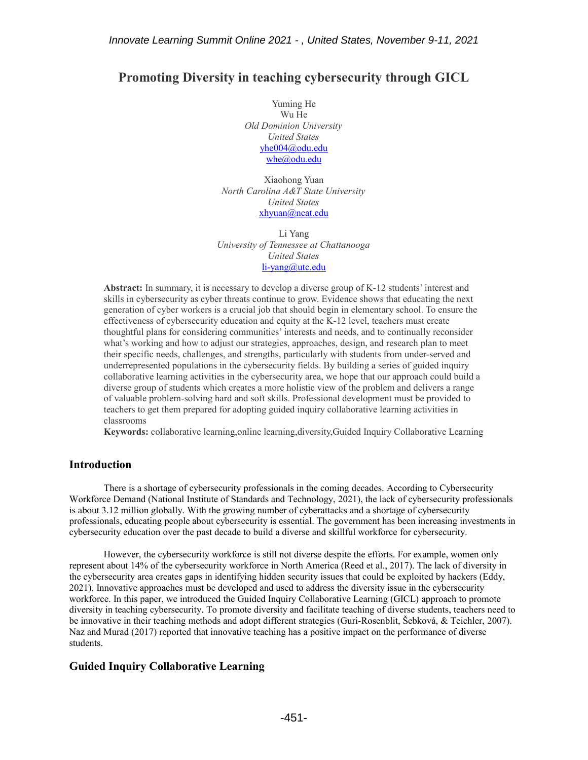### **Promoting Diversity in teaching cybersecurity through GICL**

Yuming He Wu He *Old Dominion University United States* [yhe004@odu.edu](mailto:yhe004@odu.edu) [whe@odu.edu](mailto:whe@odu.edu)

Xiaohong Yuan *North Carolina A&T State University United States* [xhyuan@ncat.edu](mailto:xhyuan@ncat.edu)

Li Yang *University of Tennessee at Chattanooga United States* [li-yang@utc.edu](mailto:li-yang@utc.edu)

**Abstract:** In summary, it is necessary to develop a diverse group of K-12 students' interest and skills in cybersecurity as cyber threats continue to grow. Evidence shows that educating the next generation of cyber workers is a crucial job that should begin in elementary school. To ensure the effectiveness of cybersecurity education and equity at the K-12 level, teachers must create thoughtful plans for considering communities' interests and needs, and to continually reconsider what's working and how to adjust our strategies, approaches, design, and research plan to meet their specific needs, challenges, and strengths, particularly with students from under-served and underrepresented populations in the cybersecurity fields. By building a series of guided inquiry collaborative learning activities in the cybersecurity area, we hope that our approach could build a diverse group of students which creates a more holistic view of the problem and delivers a range of valuable problem-solving hard and soft skills. Professional development must be provided to teachers to get them prepared for adopting guided inquiry collaborative learning activities in classrooms

**Keywords:** collaborative learning,online learning,diversity,Guided Inquiry Collaborative Learning

#### **Introduction**

There is a shortage of cybersecurity professionals in the coming decades. According to Cybersecurity Workforce Demand (National Institute of Standards and Technology, 2021), the lack of cybersecurity professionals is about 3.12 million globally. With the growing number of cyberattacks and a shortage of cybersecurity professionals, educating people about cybersecurity is essential. The government has been increasing investments in cybersecurity education over the past decade to build a diverse and skillful workforce for cybersecurity.

However, the cybersecurity workforce is still not diverse despite the efforts. For example, women only represent about 14% of the cybersecurity workforce in North America (Reed et al., 2017). The lack of diversity in the cybersecurity area creates gaps in identifying hidden security issues that could be exploited by hackers (Eddy, 2021). Innovative approaches must be developed and used to address the diversity issue in the cybersecurity workforce. In this paper, we introduced the Guided Inquiry Collaborative Learning (GICL) approach to promote diversity in teaching cybersecurity. To promote diversity and facilitate teaching of diverse students, teachers need to be innovative in their teaching methods and adopt different strategies (Guri-Rosenblit, Šebková, & Teichler, 2007). Naz and Murad (2017) reported that innovative teaching has a positive impact on the performance of diverse students.

#### **Guided Inquiry Collaborative Learning**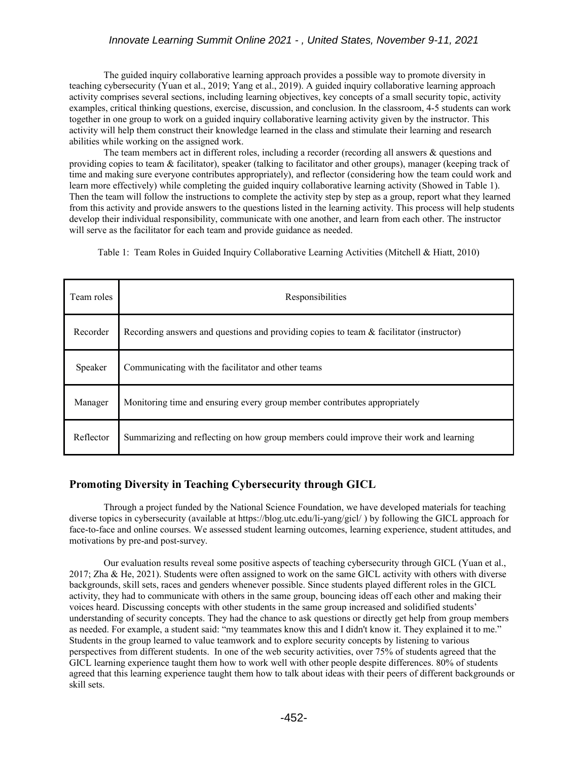The guided inquiry collaborative learning approach provides a possible way to promote diversity in teaching cybersecurity (Yuan et al., 2019; Yang et al., 2019). A guided inquiry collaborative learning approach activity comprises several sections, including learning objectives, key concepts of a small security topic, activity examples, critical thinking questions, exercise, discussion, and conclusion. In the classroom, 4-5 students can work together in one group to work on a guided inquiry collaborative learning activity given by the instructor. This activity will help them construct their knowledge learned in the class and stimulate their learning and research abilities while working on the assigned work.

The team members act in different roles, including a recorder (recording all answers & questions and providing copies to team & facilitator), speaker (talking to facilitator and other groups), manager (keeping track of time and making sure everyone contributes appropriately), and reflector (considering how the team could work and learn more effectively) while completing the guided inquiry collaborative learning activity (Showed in Table 1). Then the team will follow the instructions to complete the activity step by step as a group, report what they learned from this activity and provide answers to the questions listed in the learning activity. This process will help students develop their individual responsibility, communicate with one another, and learn from each other. The instructor will serve as the facilitator for each team and provide guidance as needed.

Table 1: Team Roles in Guided Inquiry Collaborative Learning Activities (Mitchell & Hiatt, 2010)

| Team roles | Responsibilities                                                                           |
|------------|--------------------------------------------------------------------------------------------|
| Recorder   | Recording answers and questions and providing copies to team $\&$ facilitator (instructor) |
| Speaker    | Communicating with the facilitator and other teams                                         |
| Manager    | Monitoring time and ensuring every group member contributes appropriately                  |
| Reflector  | Summarizing and reflecting on how group members could improve their work and learning      |

#### **Promoting Diversity in Teaching Cybersecurity through GICL**

Through a project funded by the National Science Foundation, we have developed materials for teaching diverse topics in cybersecurity (available at https://blog.utc.edu/li-yang/gicl/ ) by following the GICL approach for face-to-face and online courses. We assessed student learning outcomes, learning experience, student attitudes, and motivations by pre-and post-survey.

Our evaluation results reveal some positive aspects of teaching cybersecurity through GICL (Yuan et al., 2017; Zha & He, 2021). Students were often assigned to work on the same GICL activity with others with diverse backgrounds, skill sets, races and genders whenever possible. Since students played different roles in the GICL activity, they had to communicate with others in the same group, bouncing ideas off each other and making their voices heard. Discussing concepts with other students in the same group increased and solidified students' understanding of security concepts. They had the chance to ask questions or directly get help from group members as needed. For example, a student said: "my teammates know this and I didn't know it. They explained it to me." Students in the group learned to value teamwork and to explore security concepts by listening to various perspectives from different students. In one of the web security activities, over 75% of students agreed that the GICL learning experience taught them how to work well with other people despite differences. 80% of students agreed that this learning experience taught them how to talk about ideas with their peers of different backgrounds or skill sets.